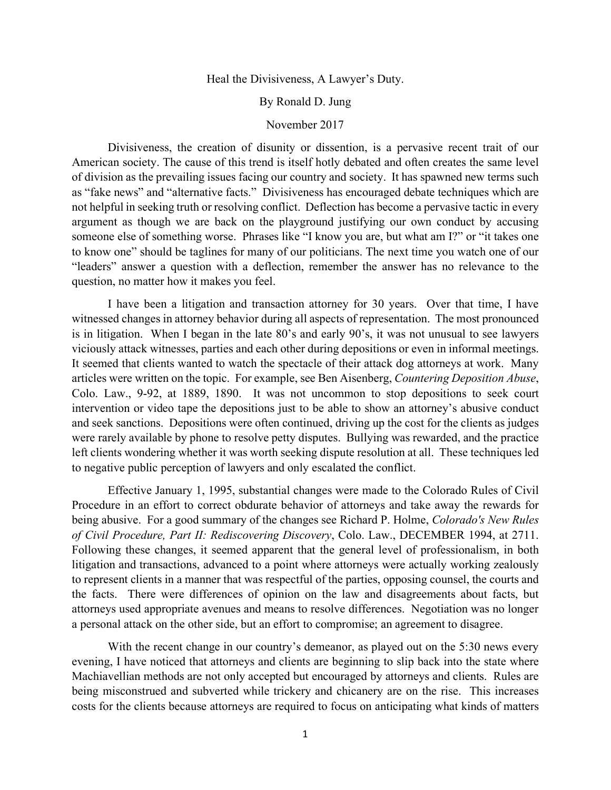Heal the Divisiveness, A Lawyer's Duty.

By Ronald D. Jung

## November 2017

Divisiveness, the creation of disunity or dissention, is a pervasive recent trait of our American society. The cause of this trend is itself hotly debated and often creates the same level of division as the prevailing issues facing our country and society. It has spawned new terms such as "fake news" and "alternative facts." Divisiveness has encouraged debate techniques which are not helpful in seeking truth or resolving conflict. Deflection has become a pervasive tactic in every argument as though we are back on the playground justifying our own conduct by accusing someone else of something worse. Phrases like "I know you are, but what am I?" or "it takes one to know one" should be taglines for many of our politicians. The next time you watch one of our "leaders" answer a question with a deflection, remember the answer has no relevance to the question, no matter how it makes you feel.

I have been a litigation and transaction attorney for 30 years. Over that time, I have witnessed changes in attorney behavior during all aspects of representation. The most pronounced is in litigation. When I began in the late 80's and early 90's, it was not unusual to see lawyers viciously attack witnesses, parties and each other during depositions or even in informal meetings. It seemed that clients wanted to watch the spectacle of their attack dog attorneys at work. Many articles were written on the topic. For example, see Ben Aisenberg, *Countering Deposition Abuse*, Colo. Law., 9-92, at 1889, 1890. It was not uncommon to stop depositions to seek court intervention or video tape the depositions just to be able to show an attorney's abusive conduct and seek sanctions. Depositions were often continued, driving up the cost for the clients as judges were rarely available by phone to resolve petty disputes. Bullying was rewarded, and the practice left clients wondering whether it was worth seeking dispute resolution at all. These techniques led to negative public perception of lawyers and only escalated the conflict.

Effective January 1, 1995, substantial changes were made to the Colorado Rules of Civil Procedure in an effort to correct obdurate behavior of attorneys and take away the rewards for being abusive. For a good summary of the changes see Richard P. Holme, *Colorado's New Rules of Civil Procedure, Part II: Rediscovering Discovery*, Colo. Law., DECEMBER 1994, at 2711. Following these changes, it seemed apparent that the general level of professionalism, in both litigation and transactions, advanced to a point where attorneys were actually working zealously to represent clients in a manner that was respectful of the parties, opposing counsel, the courts and the facts. There were differences of opinion on the law and disagreements about facts, but attorneys used appropriate avenues and means to resolve differences. Negotiation was no longer a personal attack on the other side, but an effort to compromise; an agreement to disagree.

With the recent change in our country's demeanor, as played out on the 5:30 news every evening, I have noticed that attorneys and clients are beginning to slip back into the state where Machiavellian methods are not only accepted but encouraged by attorneys and clients. Rules are being misconstrued and subverted while trickery and chicanery are on the rise. This increases costs for the clients because attorneys are required to focus on anticipating what kinds of matters